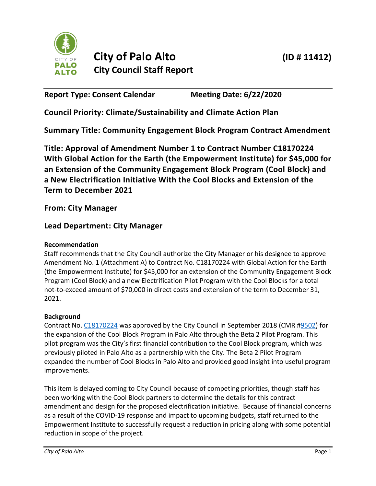

# **City of Palo Alto (ID # 11412) City Council Staff Report**

**Report Type: Consent Calendar Meeting Date: 6/22/2020**

**Council Priority: Climate/Sustainability and Climate Action Plan**

**Summary Title: Community Engagement Block Program Contract Amendment**

**Title: Approval of Amendment Number 1 to Contract Number C18170224 With Global Action for the Earth (the Empowerment Institute) for \$45,000 for an Extension of the Community Engagement Block Program (Cool Block) and a New Electrification Initiative With the Cool Blocks and Extension of the Term to December 2021**

**From: City Manager**

## **Lead Department: City Manager**

## **Recommendation**

Staff recommends that the City Council authorize the City Manager or his designee to approve Amendment No. 1 (Attachment A) to Contract No. C18170224 with Global Action for the Earth (the Empowerment Institute) for \$45,000 for an extension of the Community Engagement Block Program (Cool Block) and a new Electrification Pilot Program with the Cool Blocks for a total not-to-exceed amount of \$70,000 in direct costs and extension of the term to December 31, 2021.

#### **Background**

Contract No[. C18170224](https://www.cityofpaloalto.org/civicax/filebank/blobdload.aspx?t=51190.59&BlobID=66717) was approved by the City Council in September 2018 (CMR [#9502\)](https://www.cityofpaloalto.org/civicax/filebank/documents/66639) for the expansion of the Cool Block Program in Palo Alto through the Beta 2 Pilot Program. This pilot program was the City's first financial contribution to the Cool Block program, which was previously piloted in Palo Alto as a partnership with the City. The Beta 2 Pilot Program expanded the number of Cool Blocks in Palo Alto and provided good insight into useful program improvements.

This item is delayed coming to City Council because of competing priorities, though staff has been working with the Cool Block partners to determine the details for this contract amendment and design for the proposed electrification initiative. Because of financial concerns as a result of the COVID-19 response and impact to upcoming budgets, staff returned to the Empowerment Institute to successfully request a reduction in pricing along with some potential reduction in scope of the project.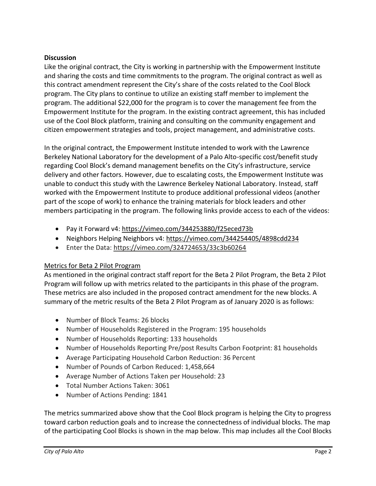#### **Discussion**

Like the original contract, the City is working in partnership with the Empowerment Institute and sharing the costs and time commitments to the program. The original contract as well as this contract amendment represent the City's share of the costs related to the Cool Block program. The City plans to continue to utilize an existing staff member to implement the program. The additional \$22,000 for the program is to cover the management fee from the Empowerment Institute for the program. In the existing contract agreement, this has included use of the Cool Block platform, training and consulting on the community engagement and citizen empowerment strategies and tools, project management, and administrative costs.

In the original contract, the Empowerment Institute intended to work with the Lawrence Berkeley National Laboratory for the development of a Palo Alto-specific cost/benefit study regarding Cool Block's demand management benefits on the City's infrastructure, service delivery and other factors. However, due to escalating costs, the Empowerment Institute was unable to conduct this study with the Lawrence Berkeley National Laboratory. Instead, staff worked with the Empowerment Institute to produce additional professional videos (another part of the scope of work) to enhance the training materials for block leaders and other members participating in the program. The following links provide access to each of the videos:

- Pay it Forward v4:<https://vimeo.com/344253880/f25eced73b>
- Neighbors Helping Neighbors v4:<https://vimeo.com/344254405/4898cdd234>
- Enter the Data:<https://vimeo.com/324724653/33c3b60264>

#### Metrics for Beta 2 Pilot Program

As mentioned in the original contract staff report for the Beta 2 Pilot Program, the Beta 2 Pilot Program will follow up with metrics related to the participants in this phase of the program. These metrics are also included in the proposed contract amendment for the new blocks. A summary of the metric results of the Beta 2 Pilot Program as of January 2020 is as follows:

- Number of Block Teams: 26 blocks
- Number of Households Registered in the Program: 195 households
- Number of Households Reporting: 133 households
- Number of Households Reporting Pre/post Results Carbon Footprint: 81 households
- Average Participating Household Carbon Reduction: 36 Percent
- Number of Pounds of Carbon Reduced: 1,458,664
- Average Number of Actions Taken per Household: 23
- Total Number Actions Taken: 3061
- Number of Actions Pending: 1841

The metrics summarized above show that the Cool Block program is helping the City to progress toward carbon reduction goals and to increase the connectedness of individual blocks. The map of the participating Cool Blocks is shown in the map below. This map includes all the Cool Blocks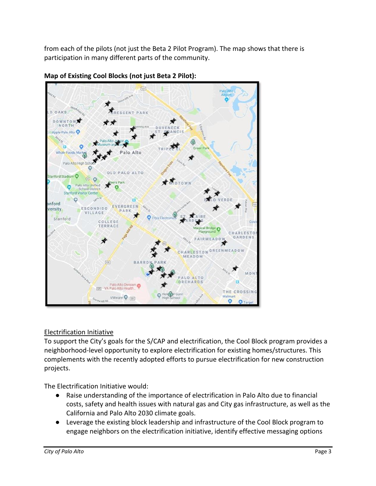from each of the pilots (not just the Beta 2 Pilot Program). The map shows that there is participation in many different parts of the community.



**Map of Existing Cool Blocks (not just Beta 2 Pilot):** 

## Electrification Initiative

To support the City's goals for the S/CAP and electrification, the Cool Block program provides a neighborhood-level opportunity to explore electrification for existing homes/structures. This complements with the recently adopted efforts to pursue electrification for new construction projects.

The Electrification Initiative would:

- Raise understanding of the importance of electrification in Palo Alto due to financial costs, safety and health issues with natural gas and City gas infrastructure, as well as the California and Palo Alto 2030 climate goals.
- Leverage the existing block leadership and infrastructure of the Cool Block program to engage neighbors on the electrification initiative, identify effective messaging options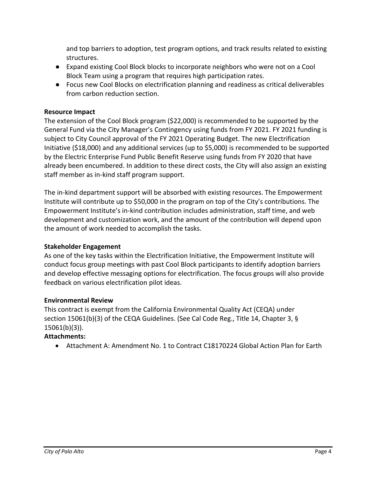and top barriers to adoption, test program options, and track results related to existing structures.

- Expand existing Cool Block blocks to incorporate neighbors who were not on a Cool Block Team using a program that requires high participation rates.
- Focus new Cool Blocks on electrification planning and readiness as critical deliverables from carbon reduction section.

#### **Resource Impact**

The extension of the Cool Block program (\$22,000) is recommended to be supported by the General Fund via the City Manager's Contingency using funds from FY 2021. FY 2021 funding is subject to City Council approval of the FY 2021 Operating Budget. The new Electrification Initiative (\$18,000) and any additional services (up to \$5,000) is recommended to be supported by the Electric Enterprise Fund Public Benefit Reserve using funds from FY 2020 that have already been encumbered. In addition to these direct costs, the City will also assign an existing staff member as in-kind staff program support.

The in-kind department support will be absorbed with existing resources. The Empowerment Institute will contribute up to \$50,000 in the program on top of the City's contributions. The Empowerment Institute's in-kind contribution includes administration, staff time, and web development and customization work, and the amount of the contribution will depend upon the amount of work needed to accomplish the tasks.

#### **Stakeholder Engagement**

As one of the key tasks within the Electrification Initiative, the Empowerment Institute will conduct focus group meetings with past Cool Block participants to identify adoption barriers and develop effective messaging options for electrification. The focus groups will also provide feedback on various electrification pilot ideas.

#### **Environmental Review**

This contract is exempt from the California Environmental Quality Act (CEQA) under section 15061(b)(3) of the CEQA Guidelines. (See Cal Code Reg., Title 14, Chapter 3, § 15061(b)(3)).

#### **Attachments:**

• Attachment A: Amendment No. 1 to Contract C18170224 Global Action Plan for Earth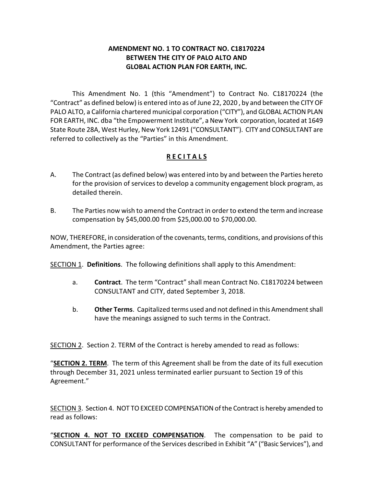#### **AMENDMENT NO. 1 TO CONTRACT NO. C18170224 BETWEEN THE CITY OF PALO ALTO AND GLOBAL ACTION PLAN FOR EARTH, INC.**

This Amendment No. 1 (this "Amendment") to Contract No. C18170224 (the "Contract" as defined below) is entered into as of June 22, 2020 , by and between the CITY OF PALO ALTO, a California chartered municipal corporation ("CITY"), and GLOBAL ACTION PLAN FOR EARTH, INC. dba "the Empowerment Institute", a New York corporation, located at 1649 State Route 28A, West Hurley, New York 12491 ("CONSULTANT"). CITY and CONSULTANT are referred to collectively as the "Parties" in this Amendment.

## **R E C I T A L S**

- A. The Contract (as defined below) was entered into by and between the Parties hereto for the provision of services to develop a community engagement block program, as detailed therein.
- B. The Parties now wish to amend the Contract in order to extend the term and increase compensation by \$45,000.00 from \$25,000.00 to \$70,000.00.

NOW, THEREFORE, in consideration of the covenants, terms, conditions, and provisions of this Amendment, the Parties agree:

SECTION 1. **Definitions**. The following definitions shall apply to this Amendment:

- a. **Contract**. The term "Contract" shall mean Contract No. C18170224 between CONSULTANT and CITY, dated September 3, 2018.
- b. **Other Terms**. Capitalized terms used and not defined in this Amendment shall have the meanings assigned to such terms in the Contract.

SECTION 2. Section 2. TERM of the Contract is hereby amended to read as follows:

"**SECTION 2. TERM**. The term of this Agreement shall be from the date of its full execution through December 31, 2021 unless terminated earlier pursuant to Section 19 of this Agreement."

SECTION 3. Section 4. NOT TO EXCEED COMPENSATION of the Contract is hereby amended to read as follows:

"**SECTION 4. NOT TO EXCEED COMPENSATION**. The compensation to be paid to CONSULTANT for performance of the Services described in Exhibit "A" ("Basic Services"), and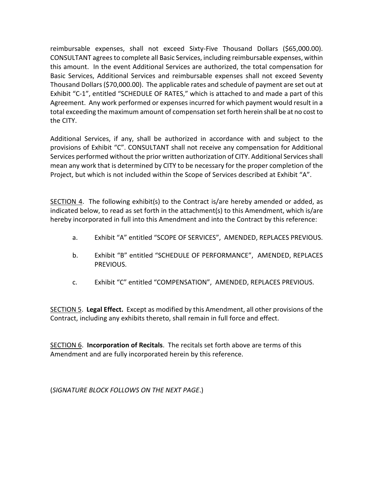reimbursable expenses, shall not exceed Sixty-Five Thousand Dollars (\$65,000.00). CONSULTANT agrees to complete all Basic Services, including reimbursable expenses, within this amount. In the event Additional Services are authorized, the total compensation for Basic Services, Additional Services and reimbursable expenses shall not exceed Seventy Thousand Dollars (\$70,000.00). The applicable rates and schedule of payment are set out at Exhibit "C-1", entitled "SCHEDULE OF RATES," which is attached to and made a part of this Agreement. Any work performed or expenses incurred for which payment would result in a total exceeding the maximum amount of compensation set forth herein shall be at no cost to the CITY.

Additional Services, if any, shall be authorized in accordance with and subject to the provisions of Exhibit "C". CONSULTANT shall not receive any compensation for Additional Services performed without the prior written authorization of CITY. Additional Services shall mean any work that is determined by CITY to be necessary for the proper completion of the Project, but which is not included within the Scope of Services described at Exhibit "A".

SECTION 4. The following exhibit(s) to the Contract is/are hereby amended or added, as indicated below, to read as set forth in the attachment(s) to this Amendment, which is/are hereby incorporated in full into this Amendment and into the Contract by this reference:

- a. Exhibit "A" entitled "SCOPE OF SERVICES", AMENDED, REPLACES PREVIOUS.
- b. Exhibit "B" entitled "SCHEDULE OF PERFORMANCE", AMENDED, REPLACES PREVIOUS.
- c. Exhibit "C" entitled "COMPENSATION", AMENDED, REPLACES PREVIOUS.

SECTION 5. **Legal Effect.** Except as modified by this Amendment, all other provisions of the Contract, including any exhibits thereto, shall remain in full force and effect.

SECTION 6. **Incorporation of Recitals**. The recitals set forth above are terms of this Amendment and are fully incorporated herein by this reference.

(*SIGNATURE BLOCK FOLLOWS ON THE NEXT PAGE*.)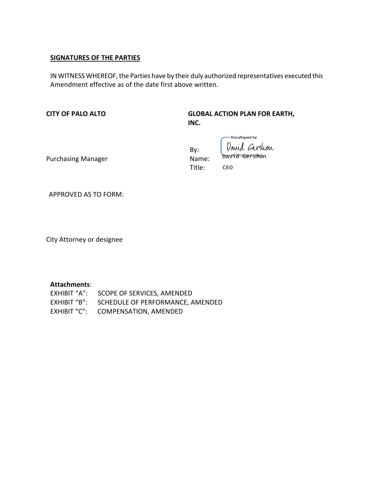#### **SIGNATURES OF THE PARTIES**

IN WITNESS WHEREOF, the Parties have by their duly authorized representatives executed this Amendment effective as of the date first above written.

**CITY OF PALO ALTO**

**GLOBAL ACTION PLAN FOR EARTH, INC.**

-DocuSigned by:

David Gershon By: David<sup>50</sup>dershon Name: Title: CEO

Purchasing Manager

APPROVED AS TO FORM:

City Attorney or designee

#### **Attachments**:

| EXHIBIT "A": SCOPE OF SERVICES, AMENDED       |
|-----------------------------------------------|
| EXHIBIT "B": SCHEDULE OF PERFORMANCE, AMENDED |
| EXHIBIT "C": COMPENSATION, AMENDED            |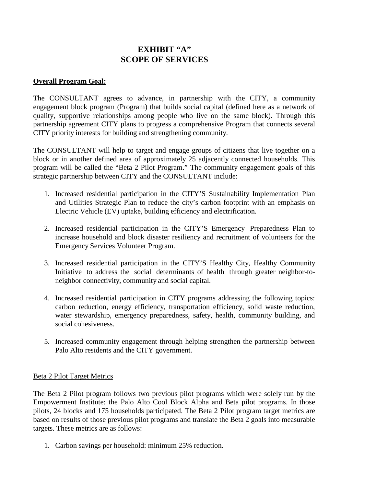## **EXHIBIT "A" SCOPE OF SERVICES**

#### **Overall Program Goal:**

The CONSULTANT agrees to advance, in partnership with the CITY, a community engagement block program (Program) that builds social capital (defined here as a network of quality, supportive relationships among people who live on the same block). Through this partnership agreement CITY plans to progress a comprehensive Program that connects several CITY priority interests for building and strengthening community.

The CONSULTANT will help to target and engage groups of citizens that live together on a block or in another defined area of approximately 25 adjacently connected households. This program will be called the "Beta 2 Pilot Program." The community engagement goals of this strategic partnership between CITY and the CONSULTANT include:

- 1. Increased residential participation in the CITY'S Sustainability Implementation Plan and Utilities Strategic Plan to reduce the city's carbon footprint with an emphasis on Electric Vehicle (EV) uptake, building efficiency and electrification.
- 2. Increased residential participation in the CITY'S Emergency Preparedness Plan to increase household and block disaster resiliency and recruitment of volunteers for the Emergency Services Volunteer Program.
- 3. Increased residential participation in the CITY'S Healthy City, Healthy Community Initiative to address the social determinants of health through greater neighbor-toneighbor connectivity, community and social capital.
- 4. Increased residential participation in CITY programs addressing the following topics: carbon reduction, energy efficiency, transportation efficiency, solid waste reduction, water stewardship, emergency preparedness, safety, health, community building, and social cohesiveness.
- 5. Increased community engagement through helping strengthen the partnership between Palo Alto residents and the CITY government.

#### Beta 2 Pilot Target Metrics

The Beta 2 Pilot program follows two previous pilot programs which were solely run by the Empowerment Institute: the Palo Alto Cool Block Alpha and Beta pilot programs. In those pilots, 24 blocks and 175 households participated. The Beta 2 Pilot program target metrics are based on results of those previous pilot programs and translate the Beta 2 goals into measurable targets. These metrics are as follows:

1. Carbon savings per household: minimum 25% reduction.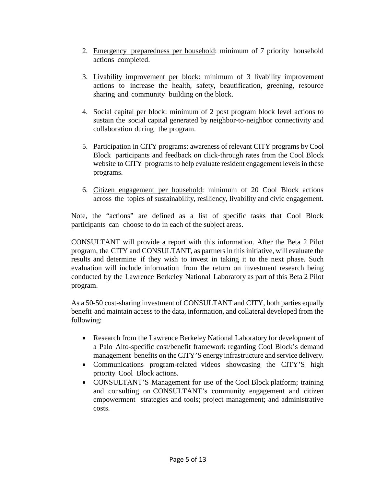- 2. Emergency preparedness per household: minimum of 7 priority household actions completed.
- 3. Livability improvement per block: minimum of 3 livability improvement actions to increase the health, safety, beautification, greening, resource sharing and community building on the block.
- 4. Social capital per block: minimum of 2 post program block level actions to sustain the social capital generated by neighbor-to-neighbor connectivity and collaboration during the program.
- 5. Participation in CITY programs: awareness of relevant CITY programs by Cool Block participants and feedback on click-through rates from the Cool Block website to CITY programs to help evaluate resident engagement levels in these programs.
- 6. Citizen engagement per household: minimum of 20 Cool Block actions across the topics of sustainability, resiliency, livability and civic engagement.

Note, the "actions" are defined as a list of specific tasks that Cool Block participants can choose to do in each of the subject areas.

CONSULTANT will provide a report with this information. After the Beta 2 Pilot program, the CITY and CONSULTANT, as partners in this initiative, will evaluate the results and determine if they wish to invest in taking it to the next phase. Such evaluation will include information from the return on investment research being conducted by the Lawrence Berkeley National Laboratory as part of this Beta 2 Pilot program.

As a 50-50 cost-sharing investment of CONSULTANT and CITY, both parties equally benefit and maintain access to the data, information, and collateral developed from the following:

- Research from the Lawrence Berkeley National Laboratory for development of a Palo Alto-specific cost/benefit framework regarding Cool Block's demand management benefits on the CITY'S energy infrastructure and service delivery.
- Communications program-related videos showcasing the CITY'S high priority Cool Block actions.
- CONSULTANT'S Management for use of the Cool Block platform; training and consulting on CONSULTANT's community engagement and citizen empowerment strategies and tools; project management; and administrative costs.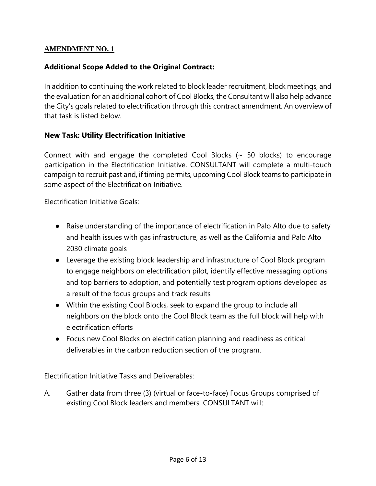## **AMENDMENT NO. 1**

## **Additional Scope Added to the Original Contract:**

In addition to continuing the work related to block leader recruitment, block meetings, and the evaluation for an additional cohort of Cool Blocks, the Consultant will also help advance the City's goals related to electrification through this contract amendment. An overview of that task is listed below.

### **New Task: Utility Electrification Initiative**

Connect with and engage the completed Cool Blocks  $($   $\sim$  50 blocks) to encourage participation in the Electrification Initiative. CONSULTANT will complete a multi-touch campaign to recruit past and, if timing permits, upcoming Cool Block teams to participate in some aspect of the Electrification Initiative.

Electrification Initiative Goals:

- Raise understanding of the importance of electrification in Palo Alto due to safety and health issues with gas infrastructure, as well as the California and Palo Alto 2030 climate goals
- Leverage the existing block leadership and infrastructure of Cool Block program to engage neighbors on electrification pilot, identify effective messaging options and top barriers to adoption, and potentially test program options developed as a result of the focus groups and track results
- Within the existing Cool Blocks, seek to expand the group to include all neighbors on the block onto the Cool Block team as the full block will help with electrification efforts
- Focus new Cool Blocks on electrification planning and readiness as critical deliverables in the carbon reduction section of the program.

Electrification Initiative Tasks and Deliverables:

A. Gather data from three (3) (virtual or face-to-face) Focus Groups comprised of existing Cool Block leaders and members. CONSULTANT will: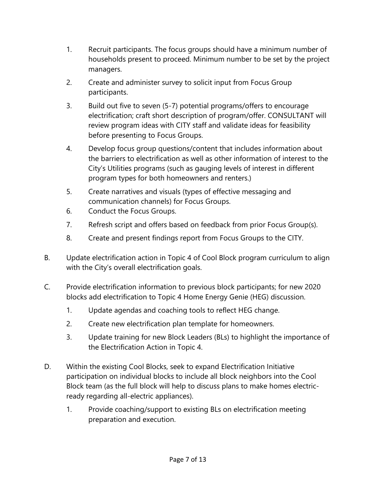- 1. Recruit participants. The focus groups should have a minimum number of households present to proceed. Minimum number to be set by the project managers.
- 2. Create and administer survey to solicit input from Focus Group participants.
- 3. Build out five to seven (5-7) potential programs/offers to encourage electrification; craft short description of program/offer. CONSULTANT will review program ideas with CITY staff and validate ideas for feasibility before presenting to Focus Groups.
- 4. Develop focus group questions/content that includes information about the barriers to electrification as well as other information of interest to the City's Utilities programs (such as gauging levels of interest in different program types for both homeowners and renters.)
- 5. Create narratives and visuals (types of effective messaging and communication channels) for Focus Groups.
- 6. Conduct the Focus Groups.
- 7. Refresh script and offers based on feedback from prior Focus Group(s).
- 8. Create and present findings report from Focus Groups to the CITY.
- B. Update electrification action in Topic 4 of Cool Block program curriculum to align with the City's overall electrification goals.
- C. Provide electrification information to previous block participants; for new 2020 blocks add electrification to Topic 4 Home Energy Genie (HEG) discussion.
	- 1. Update agendas and coaching tools to reflect HEG change.
	- 2. Create new electrification plan template for homeowners.
	- 3. Update training for new Block Leaders (BLs) to highlight the importance of the Electrification Action in Topic 4.
- D. Within the existing Cool Blocks, seek to expand Electrification Initiative participation on individual blocks to include all block neighbors into the Cool Block team (as the full block will help to discuss plans to make homes electricready regarding all-electric appliances).
	- 1. Provide coaching/support to existing BLs on electrification meeting preparation and execution.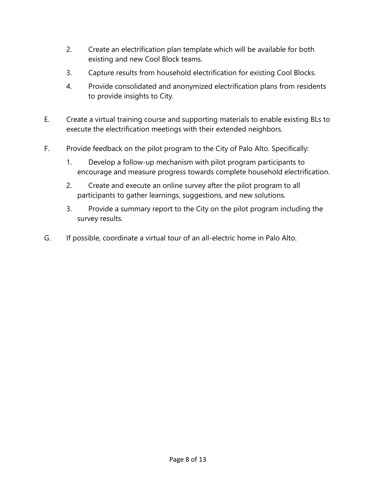- 2. Create an electrification plan template which will be available for both existing and new Cool Block teams.
- 3. Capture results from household electrification for existing Cool Blocks.
- 4. Provide consolidated and anonymized electrification plans from residents to provide insights to City.
- E. Create a virtual training course and supporting materials to enable existing BLs to execute the electrification meetings with their extended neighbors.
- F. Provide feedback on the pilot program to the City of Palo Alto. Specifically:
	- 1. Develop a follow-up mechanism with pilot program participants to encourage and measure progress towards complete household electrification.
	- 2. Create and execute an online survey after the pilot program to all participants to gather learnings, suggestions, and new solutions.
	- 3. Provide a summary report to the City on the pilot program including the survey results.
- G. If possible, coordinate a virtual tour of an all-electric home in Palo Alto.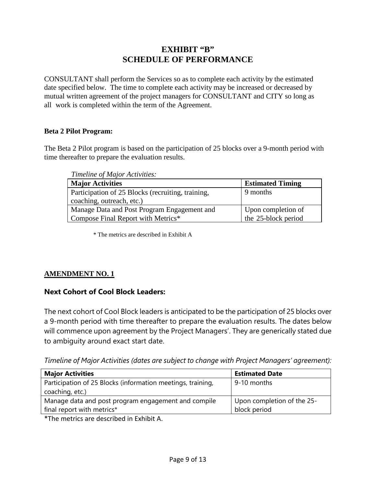## **EXHIBIT "B" SCHEDULE OF PERFORMANCE**

CONSULTANT shall perform the Services so as to complete each activity by the estimated date specified below. The time to complete each activity may be increased or decreased by mutual written agreement of the project managers for CONSULTANT and CITY so long as all work is completed within the term of the Agreement.

#### **Beta 2 Pilot Program:**

The Beta 2 Pilot program is based on the participation of 25 blocks over a 9-month period with time thereafter to prepare the evaluation results.

*Timeline of Major Activities:*

| <b>Major Activities</b>                           | <b>Estimated Timing</b> |
|---------------------------------------------------|-------------------------|
| Participation of 25 Blocks (recruiting, training, | 9 months                |
| coaching, outreach, etc.)                         |                         |
| Manage Data and Post Program Engagement and       | Upon completion of      |
| Compose Final Report with Metrics*                | the 25-block period     |

\* The metrics are described in Exhibit A

## **AMENDMENT NO. 1**

## **Next Cohort of Cool Block Leaders:**

The next cohort of Cool Block leaders is anticipated to be the participation of 25 blocks over a 9-month period with time thereafter to prepare the evaluation results. The dates below will commence upon agreement by the Project Managers'. They are generically stated due to ambiguity around exact start date.

*Timeline of Major Activities (dates are subject to change with Project Managers' agreement):*

| <b>Major Activities</b>                                     | <b>Estimated Date</b>      |
|-------------------------------------------------------------|----------------------------|
| Participation of 25 Blocks (information meetings, training, | 9-10 months                |
| coaching, etc.)                                             |                            |
| Manage data and post program engagement and compile         | Upon completion of the 25- |
| final report with metrics*                                  | block period               |
|                                                             |                            |

\*The metrics are described in Exhibit A.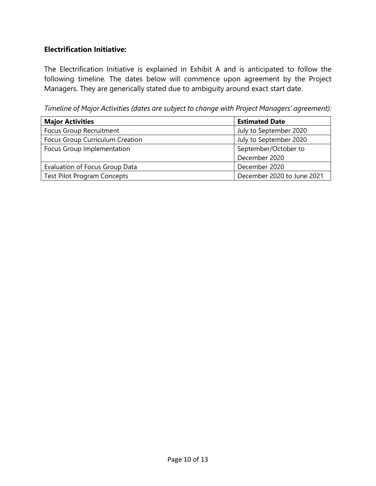## **Electrification Initiative:**

The Electrification Initiative is explained in Exhibit A and is anticipated to follow the following timeline. The dates below will commence upon agreement by the Project Managers. They are generically stated due to ambiguity around exact start date.

*Timeline of Major Activities (dates are subject to change with Project Managers' agreement):*

| <b>Major Activities</b>            | <b>Estimated Date</b>      |
|------------------------------------|----------------------------|
| Focus Group Recruitment            | July to September 2020     |
| Focus Group Curriculum Creation    | July to September 2020     |
| Focus Group Implementation         | September/October to       |
|                                    | December 2020              |
| Evaluation of Focus Group Data     | December 2020              |
| <b>Test Pilot Program Concepts</b> | December 2020 to June 2021 |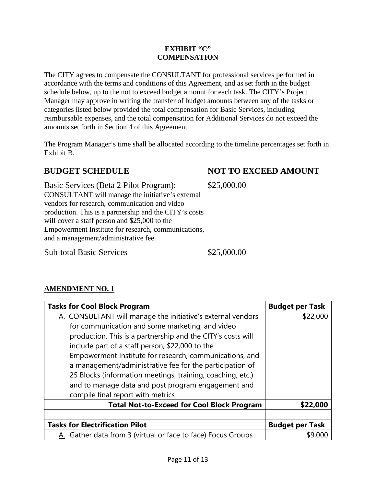#### **EXHIBIT "C" COMPENSATION**

The CITY agrees to compensate the CONSULTANT for professional services performed in accordance with the terms and conditions of this Agreement, and as set forth in the budget schedule below, up to the not to exceed budget amount for each task. The CITY's Project Manager may approve in writing the transfer of budget amounts between any of the tasks or categories listed below provided the total compensation for Basic Services, including reimbursable expenses, and the total compensation for Additional Services do not exceed the amounts set forth in Section 4 of this Agreement.

The Program Manager's time shall be allocated according to the timeline percentages set forth in Exhibit B.

## **BUDGET SCHEDULE NOT TO EXCEED AMOUNT**

Basic Services (Beta 2 Pilot Program): CONSULTANT will manage the initiative's external vendors for research, communication and video production. This is a partnership and the CITY's costs will cover a staff person and \$25,000 to the Empowerment Institute for research, communications, and a management/administrative fee.

Sub-total Basic Services  $$25,000.00$ 

**AMENDMENT NO. 1**

\$25,000.00

**Tasks for Cool Block Program Budget Budget per Task** A. CONSULTANT will manage the initiative's external vendors for communication and some marketing, and video production. This is a partnership and the CITY's costs will include part of a staff person, \$22,000 to the Empowerment Institute for research, communications, and a management/administrative fee for the participation of 25 Blocks (information meetings, training, coaching, etc.) and to manage data and post program engagement and compile final report with metrics \$22,000 **Total Not-to-Exceed for Cool Block Program \$22,000 Tasks for Electrification Pilot Budget per Task** Gather data from 3 (virtual or face to face) Focus Groups | \$9,000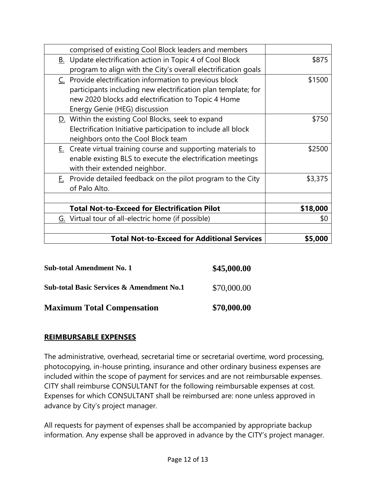| comprised of existing Cool Block leaders and members             |          |
|------------------------------------------------------------------|----------|
| <b>B.</b> Update electrification action in Topic 4 of Cool Block | \$875    |
| program to align with the City's overall electrification goals   |          |
| C. Provide electrification information to previous block         | \$1500   |
| participants including new electrification plan template; for    |          |
| new 2020 blocks add electrification to Topic 4 Home              |          |
| Energy Genie (HEG) discussion                                    |          |
| D. Within the existing Cool Blocks, seek to expand               | \$750    |
| Electrification Initiative participation to include all block    |          |
| neighbors onto the Cool Block team                               |          |
| $Ez$ Create virtual training course and supporting materials to  | \$2500   |
| enable existing BLS to execute the electrification meetings      |          |
| with their extended neighbor.                                    |          |
| F. Provide detailed feedback on the pilot program to the City    | \$3,375  |
| of Palo Alto.                                                    |          |
|                                                                  |          |
| <b>Total Not-to-Exceed for Electrification Pilot</b>             | \$18,000 |
| G. Virtual tour of all-electric home (if possible)               | \$0      |
|                                                                  |          |
| <b>Total Not-to-Exceed for Additional Services</b>               | \$5,000  |

| <b>Sub-total Amendment No. 1</b> | \$45,000.00 |
|----------------------------------|-------------|
|                                  |             |

**Sub-total Basic Services & Amendment No.1** \$70,000.00

**Maximum Total Compensation \$70,000.00**

## **REIMBURSABLE EXPENSES**

The administrative, overhead, secretarial time or secretarial overtime, word processing, photocopying, in-house printing, insurance and other ordinary business expenses are included within the scope of payment for services and are not reimbursable expenses. CITY shall reimburse CONSULTANT for the following reimbursable expenses at cost. Expenses for which CONSULTANT shall be reimbursed are: none unless approved in advance by City's project manager.

All requests for payment of expenses shall be accompanied by appropriate backup information. Any expense shall be approved in advance by the CITY's project manager.